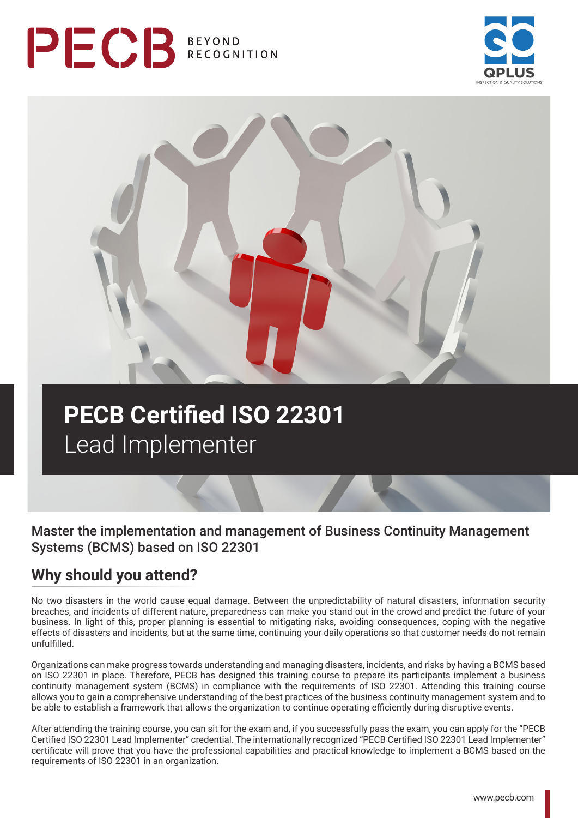# PECB BEYOND





## **PECB Certified ISO 22301**  Lead Implementer

## Master the implementation and management of Business Continuity Management Systems (BCMS) based on ISO 22301

## **Why should you attend?**

No two disasters in the world cause equal damage. Between the unpredictability of natural disasters, information security breaches, and incidents of different nature, preparedness can make you stand out in the crowd and predict the future of your business. In light of this, proper planning is essential to mitigating risks, avoiding consequences, coping with the negative effects of disasters and incidents, but at the same time, continuing your daily operations so that customer needs do not remain unfulfilled.

Organizations can make progress towards understanding and managing disasters, incidents, and risks by having a BCMS based on ISO 22301 in place. Therefore, PECB has designed this training course to prepare its participants implement a business continuity management system (BCMS) in compliance with the requirements of ISO 22301. Attending this training course allows you to gain a comprehensive understanding of the best practices of the business continuity management system and to be able to establish a framework that allows the organization to continue operating efficiently during disruptive events.

After attending the training course, you can sit for the exam and, if you successfully pass the exam, you can apply for the "PECB Certified ISO 22301 Lead Implementer" credential. The internationally recognized "PECB Certified ISO 22301 Lead Implementer" certificate will prove that you have the professional capabilities and practical knowledge to implement a BCMS based on the requirements of ISO 22301 in an organization.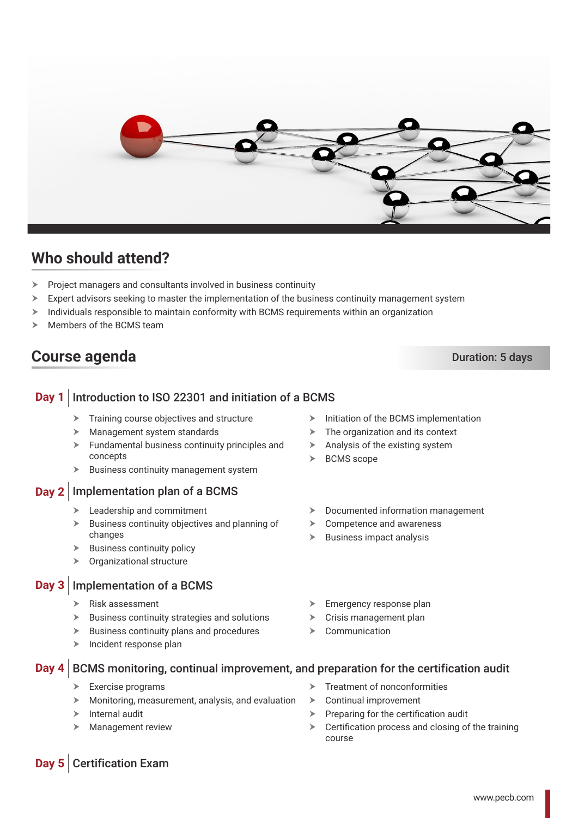

## **Who should attend?**

- $\triangleright$  Project managers and consultants involved in business continuity
- $\triangleright$  Expert advisors seeking to master the implementation of the business continuity management system
- $\triangleright$  Individuals responsible to maintain conformity with BCMS requirements within an organization
- Members of the BCMS team

## **Course agenda** Duration: 5 days

#### **Day 1** Introduction to ISO 22301 and initiation of a BCMS

- $\blacktriangleright$  Training course objectives and structure
- $\blacktriangleright$  Management system standards
- $\blacktriangleright$  Fundamental business continuity principles and concepts
- $\blacktriangleright$  Business continuity management system

#### **Day 2** Implementation plan of a BCMS

- $\blacktriangleright$  Leadership and commitment
- $\triangleright$  Business continuity objectives and planning of changes
- **Business continuity policy**
- $\triangleright$  Organizational structure

#### **Day 3** Implementation of a BCMS

- $\triangleright$  Risk assessment
- $\blacktriangleright$  Business continuity strategies and solutions
- $\triangleright$  Business continuity plans and procedures
- $\triangleright$  Incident response plan
- $\triangleright$  Initiation of the BCMS implementation
- $\triangleright$  The organization and its context
- $\triangleright$  Analysis of the existing system
- $\triangleright$  BCMS scope
- $\triangleright$  Documented information management
- $\triangleright$  Competence and awareness
- $\triangleright$  Business impact analysis
- $\blacktriangleright$  Emergency response plan
- $\triangleright$  Crisis management plan
- Communication

#### **Day 4** BCMS monitoring, continual improvement, and preparation for the certification audit

- Exercise programs
- h Monitoring, measurement, analysis, and evaluation
- $\triangleright$  Internal audit
- **Management review**
- Treatment of nonconformities
- Continual improvement
- Preparing for the certification audit
- $\triangleright$  Certification process and closing of the training course

### **Day 5** Certification Exam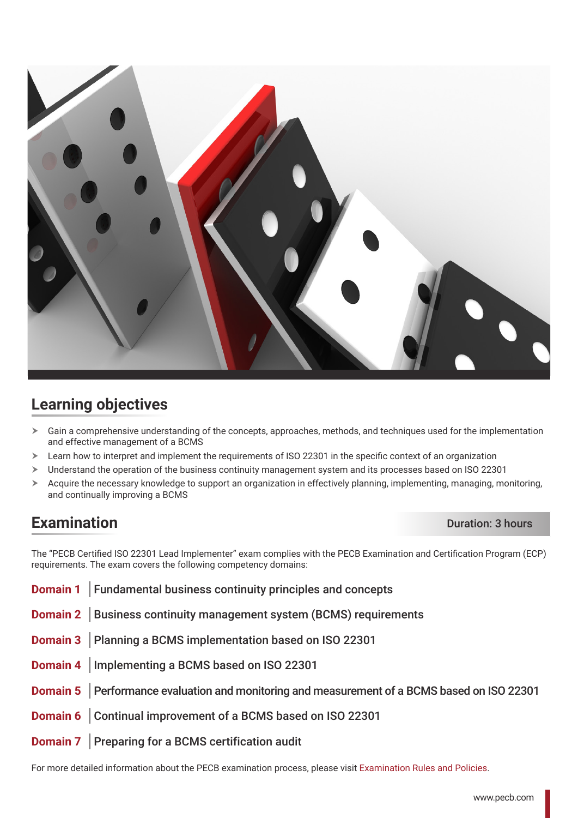

## **Learning objectives**

- $\triangleright$  Gain a comprehensive understanding of the concepts, approaches, methods, and techniques used for the implementation and effective management of a BCMS
- $\geq$  Learn how to interpret and implement the requirements of ISO 22301 in the specific context of an organization
- > Understand the operation of the business continuity management system and its processes based on ISO 22301
- $\triangleright$  Acquire the necessary knowledge to support an organization in effectively planning, implementing, managing, monitoring, and continually improving a BCMS

## **Examination** Duration: 3 hours

The "PECB Certified ISO 22301 Lead Implementer" exam complies with the PECB Examination and Certification Program (ECP) requirements. The exam covers the following competency domains:

**Domain 1** Fundamental business continuity principles and concepts **Domain 2** Business continuity management system (BCMS) requirements **Domain 3** Planning a BCMS implementation based on ISO 22301 **Domain 4** Implementing a BCMS based on ISO 22301 **Domain 5** Performance evaluation and monitoring and measurement of a BCMS based on ISO 22301 **Domain 6** Continual improvement of a BCMS based on ISO 22301 **Domain 7** Preparing for a BCMS certification audit

For more detailed information about the PECB examination process, please visit [Examination Rules and Policies.](https://pecb.com/en/examination-rules-and-policies)